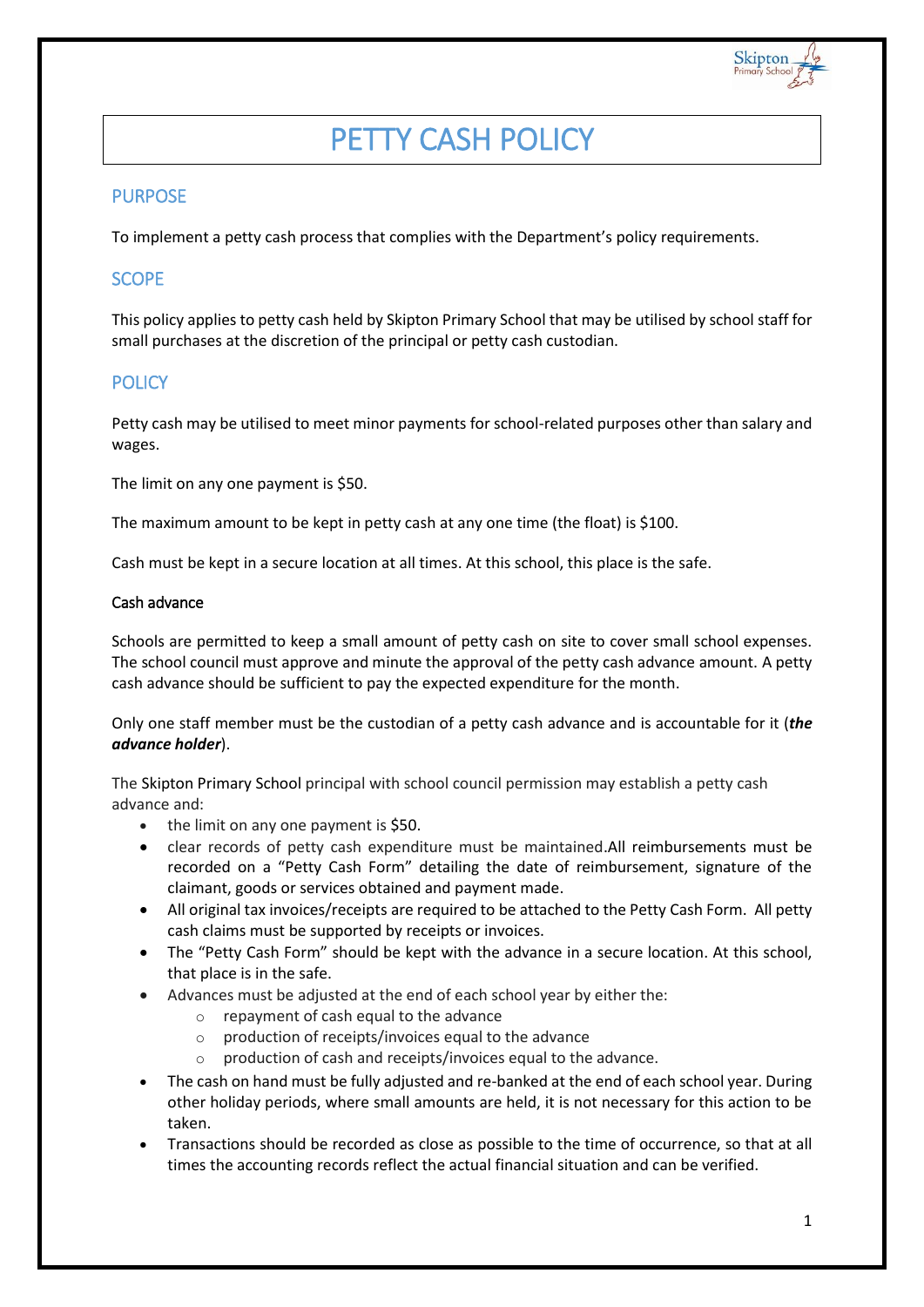

# PETTY CASH POLICY

# PURPOSE

To implement a petty cash process that complies with the Department's policy requirements.

## **SCOPE**

This policy applies to petty cash held by Skipton Primary School that may be utilised by school staff for small purchases at the discretion of the principal or petty cash custodian.

# **POLICY**

Petty cash may be utilised to meet minor payments for school-related purposes other than salary and wages.

The limit on any one payment is \$50.

The maximum amount to be kept in petty cash at any one time (the float) is \$100.

Cash must be kept in a secure location at all times. At this school, this place is the safe.

#### Cash advance

Schools are permitted to keep a small amount of petty cash on site to cover small school expenses. The school council must approve and minute the approval of the petty cash advance amount. A petty cash advance should be sufficient to pay the expected expenditure for the month.

Only one staff member must be the custodian of a petty cash advance and is accountable for it (*the advance holder*).

The Skipton Primary School principal with school council permission may establish a petty cash advance and:

- the limit on any one payment is \$50.
- clear records of petty cash expenditure must be maintained.All reimbursements must be recorded on a "Petty Cash Form" detailing the date of reimbursement, signature of the claimant, goods or services obtained and payment made.
- All original tax invoices/receipts are required to be attached to the Petty Cash Form. All petty cash claims must be supported by receipts or invoices.
- The "Petty Cash Form" should be kept with the advance in a secure location. At this school, that place is in the safe.
- Advances must be adjusted at the end of each school year by either the:
	- o repayment of cash equal to the advance
	- o production of receipts/invoices equal to the advance
	- o production of cash and receipts/invoices equal to the advance.
- The cash on hand must be fully adjusted and re-banked at the end of each school year. During other holiday periods, where small amounts are held, it is not necessary for this action to be taken.
- Transactions should be recorded as close as possible to the time of occurrence, so that at all times the accounting records reflect the actual financial situation and can be verified.